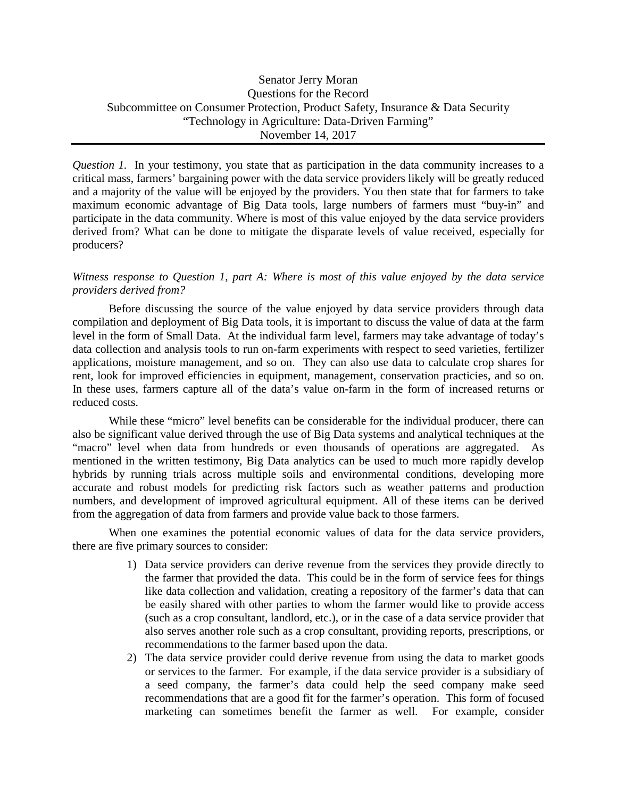*Question 1.* In your testimony, you state that as participation in the data community increases to a critical mass, farmers' bargaining power with the data service providers likely will be greatly reduced and a majority of the value will be enjoyed by the providers. You then state that for farmers to take maximum economic advantage of Big Data tools, large numbers of farmers must "buy-in" and participate in the data community. Where is most of this value enjoyed by the data service providers derived from? What can be done to mitigate the disparate levels of value received, especially for producers?

# *Witness response to Question 1, part A: Where is most of this value enjoyed by the data service providers derived from?*

Before discussing the source of the value enjoyed by data service providers through data compilation and deployment of Big Data tools, it is important to discuss the value of data at the farm level in the form of Small Data. At the individual farm level, farmers may take advantage of today's data collection and analysis tools to run on-farm experiments with respect to seed varieties, fertilizer applications, moisture management, and so on. They can also use data to calculate crop shares for rent, look for improved efficiencies in equipment, management, conservation practicies, and so on. In these uses, farmers capture all of the data's value on-farm in the form of increased returns or reduced costs.

While these "micro" level benefits can be considerable for the individual producer, there can also be significant value derived through the use of Big Data systems and analytical techniques at the "macro" level when data from hundreds or even thousands of operations are aggregated. As mentioned in the written testimony, Big Data analytics can be used to much more rapidly develop hybrids by running trials across multiple soils and environmental conditions, developing more accurate and robust models for predicting risk factors such as weather patterns and production numbers, and development of improved agricultural equipment. All of these items can be derived from the aggregation of data from farmers and provide value back to those farmers.

When one examines the potential economic values of data for the data service providers, there are five primary sources to consider:

- 1) Data service providers can derive revenue from the services they provide directly to the farmer that provided the data. This could be in the form of service fees for things like data collection and validation, creating a repository of the farmer's data that can be easily shared with other parties to whom the farmer would like to provide access (such as a crop consultant, landlord, etc.), or in the case of a data service provider that also serves another role such as a crop consultant, providing reports, prescriptions, or recommendations to the farmer based upon the data.
- 2) The data service provider could derive revenue from using the data to market goods or services to the farmer. For example, if the data service provider is a subsidiary of a seed company, the farmer's data could help the seed company make seed recommendations that are a good fit for the farmer's operation. This form of focused marketing can sometimes benefit the farmer as well. For example, consider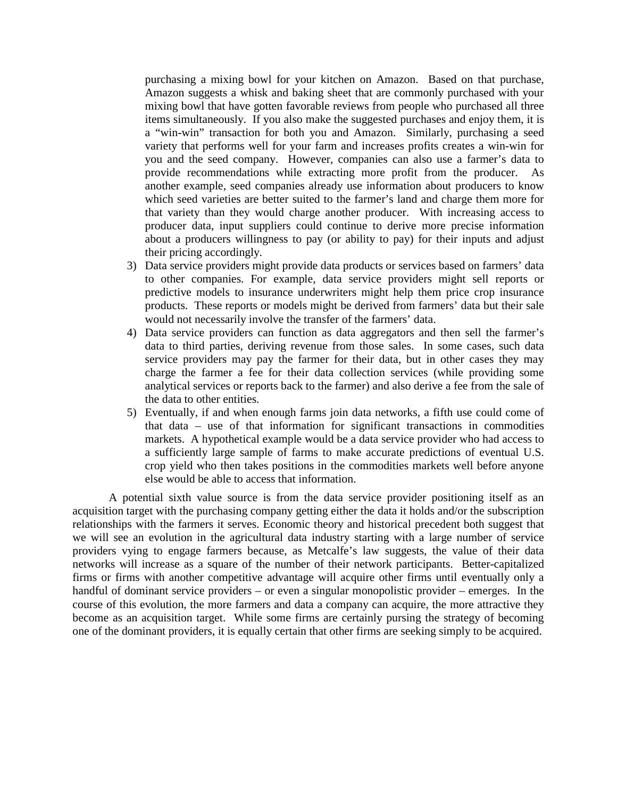purchasing a mixing bowl for your kitchen on Amazon. Based on that purchase, Amazon suggests a whisk and baking sheet that are commonly purchased with your mixing bowl that have gotten favorable reviews from people who purchased all three items simultaneously. If you also make the suggested purchases and enjoy them, it is a "win-win" transaction for both you and Amazon. Similarly, purchasing a seed variety that performs well for your farm and increases profits creates a win-win for you and the seed company. However, companies can also use a farmer's data to provide recommendations while extracting more profit from the producer. As another example, seed companies already use information about producers to know which seed varieties are better suited to the farmer's land and charge them more for that variety than they would charge another producer. With increasing access to producer data, input suppliers could continue to derive more precise information about a producers willingness to pay (or ability to pay) for their inputs and adjust their pricing accordingly.

- 3) Data service providers might provide data products or services based on farmers' data to other companies. For example, data service providers might sell reports or predictive models to insurance underwriters might help them price crop insurance products. These reports or models might be derived from farmers' data but their sale would not necessarily involve the transfer of the farmers' data.
- 4) Data service providers can function as data aggregators and then sell the farmer's data to third parties, deriving revenue from those sales. In some cases, such data service providers may pay the farmer for their data, but in other cases they may charge the farmer a fee for their data collection services (while providing some analytical services or reports back to the farmer) and also derive a fee from the sale of the data to other entities.
- 5) Eventually, if and when enough farms join data networks, a fifth use could come of that data – use of that information for significant transactions in commodities markets. A hypothetical example would be a data service provider who had access to a sufficiently large sample of farms to make accurate predictions of eventual U.S. crop yield who then takes positions in the commodities markets well before anyone else would be able to access that information.

A potential sixth value source is from the data service provider positioning itself as an acquisition target with the purchasing company getting either the data it holds and/or the subscription relationships with the farmers it serves. Economic theory and historical precedent both suggest that we will see an evolution in the agricultural data industry starting with a large number of service providers vying to engage farmers because, as Metcalfe's law suggests, the value of their data networks will increase as a square of the number of their network participants. Better-capitalized firms or firms with another competitive advantage will acquire other firms until eventually only a handful of dominant service providers – or even a singular monopolistic provider – emerges. In the course of this evolution, the more farmers and data a company can acquire, the more attractive they become as an acquisition target. While some firms are certainly pursing the strategy of becoming one of the dominant providers, it is equally certain that other firms are seeking simply to be acquired.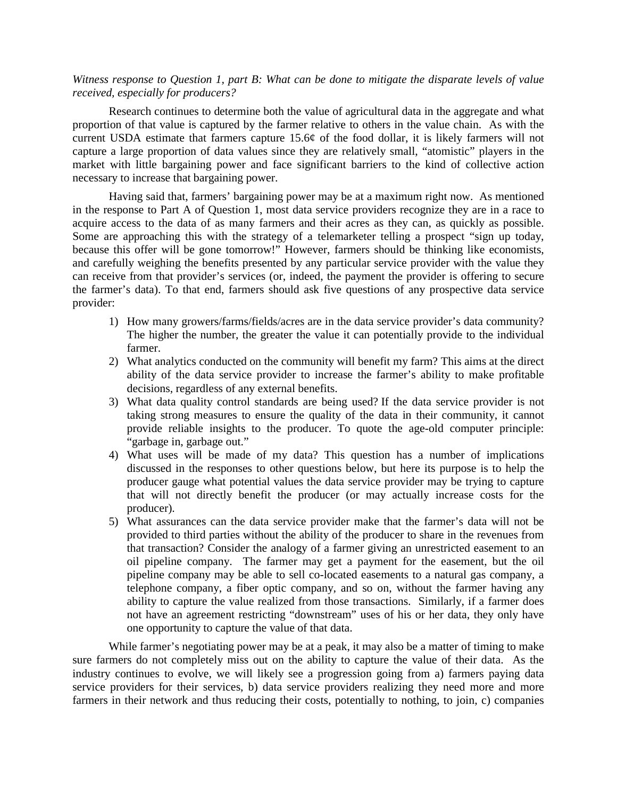## *Witness response to Question 1, part B: What can be done to mitigate the disparate levels of value received, especially for producers?*

Research continues to determine both the value of agricultural data in the aggregate and what proportion of that value is captured by the farmer relative to others in the value chain. As with the current USDA estimate that farmers capture 15.6¢ of the food dollar, it is likely farmers will not capture a large proportion of data values since they are relatively small, "atomistic" players in the market with little bargaining power and face significant barriers to the kind of collective action necessary to increase that bargaining power.

Having said that, farmers' bargaining power may be at a maximum right now. As mentioned in the response to Part A of Question 1, most data service providers recognize they are in a race to acquire access to the data of as many farmers and their acres as they can, as quickly as possible. Some are approaching this with the strategy of a telemarketer telling a prospect "sign up today, because this offer will be gone tomorrow!" However, farmers should be thinking like economists, and carefully weighing the benefits presented by any particular service provider with the value they can receive from that provider's services (or, indeed, the payment the provider is offering to secure the farmer's data). To that end, farmers should ask five questions of any prospective data service provider:

- 1) How many growers/farms/fields/acres are in the data service provider's data community? The higher the number, the greater the value it can potentially provide to the individual farmer.
- 2) What analytics conducted on the community will benefit my farm? This aims at the direct ability of the data service provider to increase the farmer's ability to make profitable decisions, regardless of any external benefits.
- 3) What data quality control standards are being used? If the data service provider is not taking strong measures to ensure the quality of the data in their community, it cannot provide reliable insights to the producer. To quote the age-old computer principle: "garbage in, garbage out."
- 4) What uses will be made of my data? This question has a number of implications discussed in the responses to other questions below, but here its purpose is to help the producer gauge what potential values the data service provider may be trying to capture that will not directly benefit the producer (or may actually increase costs for the producer).
- 5) What assurances can the data service provider make that the farmer's data will not be provided to third parties without the ability of the producer to share in the revenues from that transaction? Consider the analogy of a farmer giving an unrestricted easement to an oil pipeline company. The farmer may get a payment for the easement, but the oil pipeline company may be able to sell co-located easements to a natural gas company, a telephone company, a fiber optic company, and so on, without the farmer having any ability to capture the value realized from those transactions. Similarly, if a farmer does not have an agreement restricting "downstream" uses of his or her data, they only have one opportunity to capture the value of that data.

While farmer's negotiating power may be at a peak, it may also be a matter of timing to make sure farmers do not completely miss out on the ability to capture the value of their data. As the industry continues to evolve, we will likely see a progression going from a) farmers paying data service providers for their services, b) data service providers realizing they need more and more farmers in their network and thus reducing their costs, potentially to nothing, to join, c) companies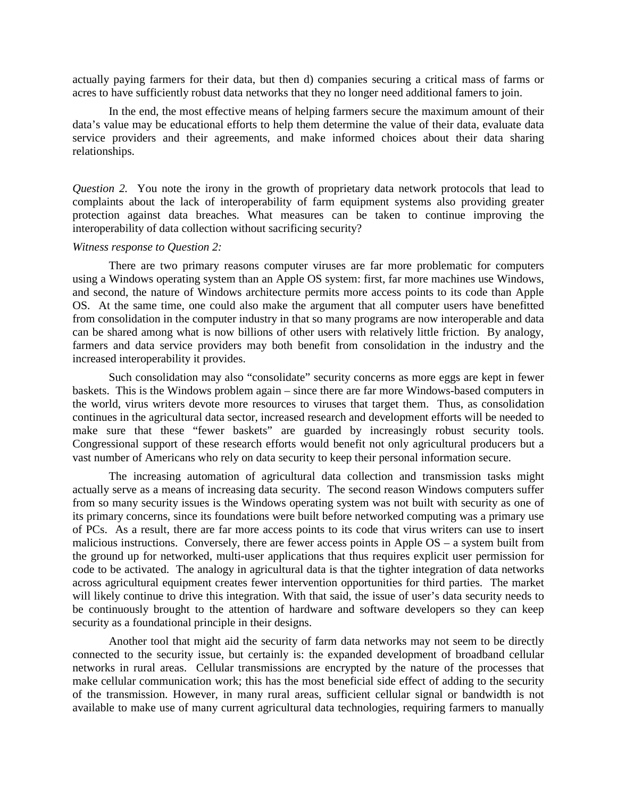actually paying farmers for their data, but then d) companies securing a critical mass of farms or acres to have sufficiently robust data networks that they no longer need additional famers to join.

In the end, the most effective means of helping farmers secure the maximum amount of their data's value may be educational efforts to help them determine the value of their data, evaluate data service providers and their agreements, and make informed choices about their data sharing relationships.

*Question 2.* You note the irony in the growth of proprietary data network protocols that lead to complaints about the lack of interoperability of farm equipment systems also providing greater protection against data breaches. What measures can be taken to continue improving the interoperability of data collection without sacrificing security?

#### *Witness response to Question 2:*

There are two primary reasons computer viruses are far more problematic for computers using a Windows operating system than an Apple OS system: first, far more machines use Windows, and second, the nature of Windows architecture permits more access points to its code than Apple OS. At the same time, one could also make the argument that all computer users have benefitted from consolidation in the computer industry in that so many programs are now interoperable and data can be shared among what is now billions of other users with relatively little friction. By analogy, farmers and data service providers may both benefit from consolidation in the industry and the increased interoperability it provides.

Such consolidation may also "consolidate" security concerns as more eggs are kept in fewer baskets. This is the Windows problem again – since there are far more Windows-based computers in the world, virus writers devote more resources to viruses that target them. Thus, as consolidation continues in the agricultural data sector, increased research and development efforts will be needed to make sure that these "fewer baskets" are guarded by increasingly robust security tools. Congressional support of these research efforts would benefit not only agricultural producers but a vast number of Americans who rely on data security to keep their personal information secure.

The increasing automation of agricultural data collection and transmission tasks might actually serve as a means of increasing data security. The second reason Windows computers suffer from so many security issues is the Windows operating system was not built with security as one of its primary concerns, since its foundations were built before networked computing was a primary use of PCs. As a result, there are far more access points to its code that virus writers can use to insert malicious instructions. Conversely, there are fewer access points in Apple OS – a system built from the ground up for networked, multi-user applications that thus requires explicit user permission for code to be activated. The analogy in agricultural data is that the tighter integration of data networks across agricultural equipment creates fewer intervention opportunities for third parties. The market will likely continue to drive this integration. With that said, the issue of user's data security needs to be continuously brought to the attention of hardware and software developers so they can keep security as a foundational principle in their designs.

Another tool that might aid the security of farm data networks may not seem to be directly connected to the security issue, but certainly is: the expanded development of broadband cellular networks in rural areas. Cellular transmissions are encrypted by the nature of the processes that make cellular communication work; this has the most beneficial side effect of adding to the security of the transmission. However, in many rural areas, sufficient cellular signal or bandwidth is not available to make use of many current agricultural data technologies, requiring farmers to manually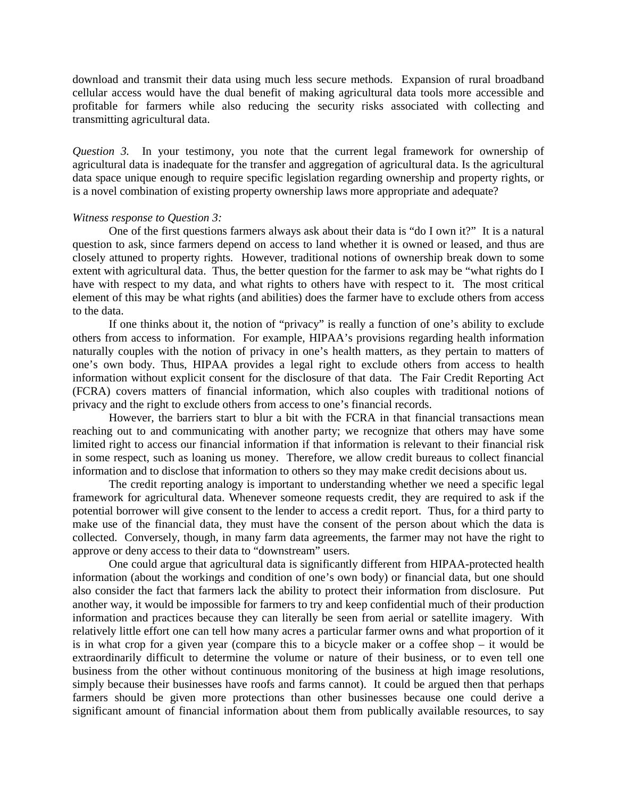download and transmit their data using much less secure methods. Expansion of rural broadband cellular access would have the dual benefit of making agricultural data tools more accessible and profitable for farmers while also reducing the security risks associated with collecting and transmitting agricultural data.

*Question 3.* In your testimony, you note that the current legal framework for ownership of agricultural data is inadequate for the transfer and aggregation of agricultural data. Is the agricultural data space unique enough to require specific legislation regarding ownership and property rights, or is a novel combination of existing property ownership laws more appropriate and adequate?

## *Witness response to Question 3:*

One of the first questions farmers always ask about their data is "do I own it?" It is a natural question to ask, since farmers depend on access to land whether it is owned or leased, and thus are closely attuned to property rights. However, traditional notions of ownership break down to some extent with agricultural data. Thus, the better question for the farmer to ask may be "what rights do I have with respect to my data, and what rights to others have with respect to it. The most critical element of this may be what rights (and abilities) does the farmer have to exclude others from access to the data.

If one thinks about it, the notion of "privacy" is really a function of one's ability to exclude others from access to information. For example, HIPAA's provisions regarding health information naturally couples with the notion of privacy in one's health matters, as they pertain to matters of one's own body. Thus, HIPAA provides a legal right to exclude others from access to health information without explicit consent for the disclosure of that data. The Fair Credit Reporting Act (FCRA) covers matters of financial information, which also couples with traditional notions of privacy and the right to exclude others from access to one's financial records.

However, the barriers start to blur a bit with the FCRA in that financial transactions mean reaching out to and communicating with another party; we recognize that others may have some limited right to access our financial information if that information is relevant to their financial risk in some respect, such as loaning us money. Therefore, we allow credit bureaus to collect financial information and to disclose that information to others so they may make credit decisions about us.

The credit reporting analogy is important to understanding whether we need a specific legal framework for agricultural data. Whenever someone requests credit, they are required to ask if the potential borrower will give consent to the lender to access a credit report. Thus, for a third party to make use of the financial data, they must have the consent of the person about which the data is collected. Conversely, though, in many farm data agreements, the farmer may not have the right to approve or deny access to their data to "downstream" users.

One could argue that agricultural data is significantly different from HIPAA-protected health information (about the workings and condition of one's own body) or financial data, but one should also consider the fact that farmers lack the ability to protect their information from disclosure. Put another way, it would be impossible for farmers to try and keep confidential much of their production information and practices because they can literally be seen from aerial or satellite imagery. With relatively little effort one can tell how many acres a particular farmer owns and what proportion of it is in what crop for a given year (compare this to a bicycle maker or a coffee shop – it would be extraordinarily difficult to determine the volume or nature of their business, or to even tell one business from the other without continuous monitoring of the business at high image resolutions, simply because their businesses have roofs and farms cannot). It could be argued then that perhaps farmers should be given more protections than other businesses because one could derive a significant amount of financial information about them from publically available resources, to say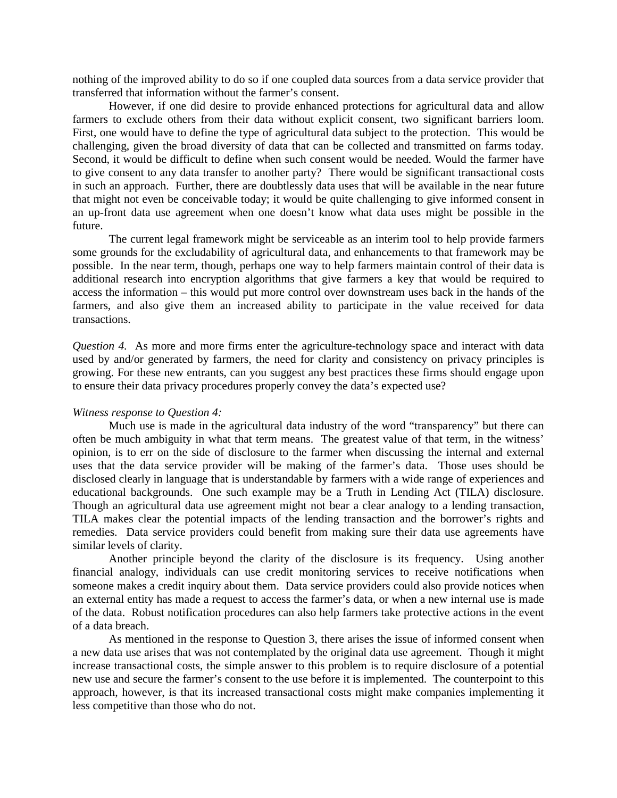nothing of the improved ability to do so if one coupled data sources from a data service provider that transferred that information without the farmer's consent.

However, if one did desire to provide enhanced protections for agricultural data and allow farmers to exclude others from their data without explicit consent, two significant barriers loom. First, one would have to define the type of agricultural data subject to the protection. This would be challenging, given the broad diversity of data that can be collected and transmitted on farms today. Second, it would be difficult to define when such consent would be needed. Would the farmer have to give consent to any data transfer to another party? There would be significant transactional costs in such an approach. Further, there are doubtlessly data uses that will be available in the near future that might not even be conceivable today; it would be quite challenging to give informed consent in an up-front data use agreement when one doesn't know what data uses might be possible in the future.

The current legal framework might be serviceable as an interim tool to help provide farmers some grounds for the excludability of agricultural data, and enhancements to that framework may be possible. In the near term, though, perhaps one way to help farmers maintain control of their data is additional research into encryption algorithms that give farmers a key that would be required to access the information – this would put more control over downstream uses back in the hands of the farmers, and also give them an increased ability to participate in the value received for data transactions.

*Question 4.* As more and more firms enter the agriculture-technology space and interact with data used by and/or generated by farmers, the need for clarity and consistency on privacy principles is growing. For these new entrants, can you suggest any best practices these firms should engage upon to ensure their data privacy procedures properly convey the data's expected use?

#### *Witness response to Question 4:*

Much use is made in the agricultural data industry of the word "transparency" but there can often be much ambiguity in what that term means. The greatest value of that term, in the witness' opinion, is to err on the side of disclosure to the farmer when discussing the internal and external uses that the data service provider will be making of the farmer's data. Those uses should be disclosed clearly in language that is understandable by farmers with a wide range of experiences and educational backgrounds. One such example may be a Truth in Lending Act (TILA) disclosure. Though an agricultural data use agreement might not bear a clear analogy to a lending transaction, TILA makes clear the potential impacts of the lending transaction and the borrower's rights and remedies. Data service providers could benefit from making sure their data use agreements have similar levels of clarity.

Another principle beyond the clarity of the disclosure is its frequency. Using another financial analogy, individuals can use credit monitoring services to receive notifications when someone makes a credit inquiry about them. Data service providers could also provide notices when an external entity has made a request to access the farmer's data, or when a new internal use is made of the data. Robust notification procedures can also help farmers take protective actions in the event of a data breach.

As mentioned in the response to Question 3, there arises the issue of informed consent when a new data use arises that was not contemplated by the original data use agreement. Though it might increase transactional costs, the simple answer to this problem is to require disclosure of a potential new use and secure the farmer's consent to the use before it is implemented. The counterpoint to this approach, however, is that its increased transactional costs might make companies implementing it less competitive than those who do not.